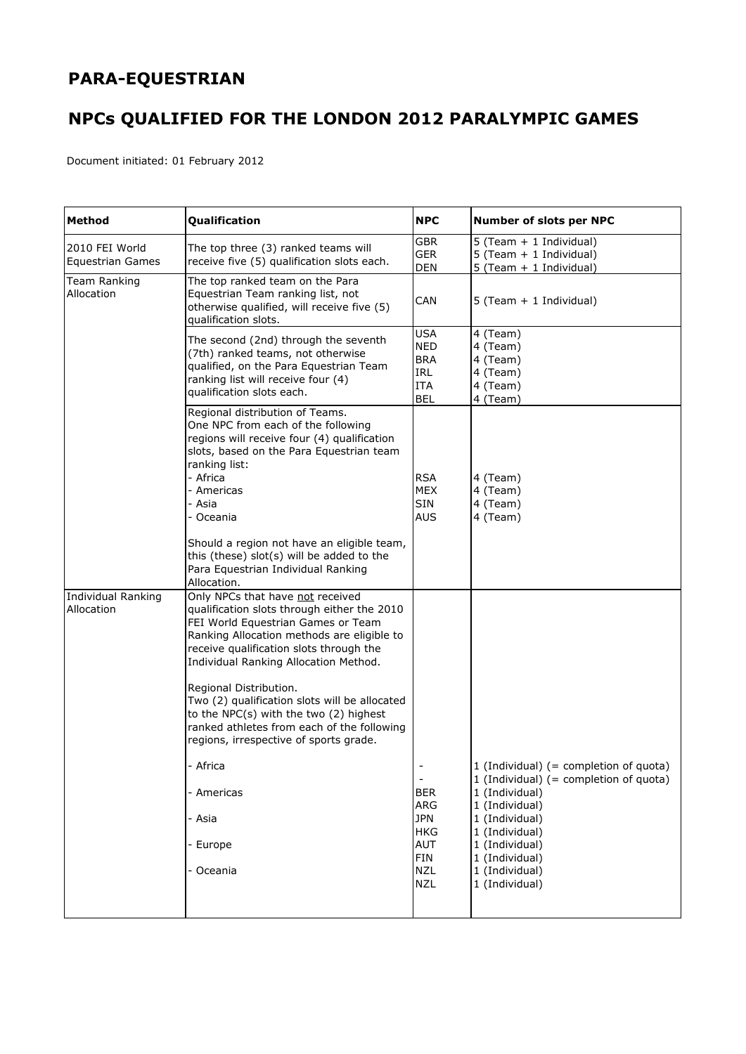## **PARA-EQUESTRIAN**

## **NPCs QUALIFIED FOR THE LONDON 2012 PARALYMPIC GAMES**

Document initiated: 01 February 2012

| Method                                    | Qualification                                                                                                                                                                                                                                                                                                                                                                                                                                                                                                                     | <b>NPC</b>                                                                                                                 | Number of slots per NPC                                                                                                                                                                                                              |
|-------------------------------------------|-----------------------------------------------------------------------------------------------------------------------------------------------------------------------------------------------------------------------------------------------------------------------------------------------------------------------------------------------------------------------------------------------------------------------------------------------------------------------------------------------------------------------------------|----------------------------------------------------------------------------------------------------------------------------|--------------------------------------------------------------------------------------------------------------------------------------------------------------------------------------------------------------------------------------|
| 2010 FEI World<br><b>Equestrian Games</b> | The top three (3) ranked teams will<br>receive five (5) qualification slots each.                                                                                                                                                                                                                                                                                                                                                                                                                                                 | <b>GBR</b><br><b>GER</b><br><b>DEN</b>                                                                                     | 5 (Team + 1 Individual)<br>5 (Team + 1 Individual)<br>$5$ (Team + 1 Individual)                                                                                                                                                      |
| Team Ranking<br>Allocation                | The top ranked team on the Para<br>Equestrian Team ranking list, not<br>otherwise qualified, will receive five (5)<br>qualification slots.                                                                                                                                                                                                                                                                                                                                                                                        | <b>CAN</b>                                                                                                                 | 5 (Team + 1 Individual)                                                                                                                                                                                                              |
|                                           | The second (2nd) through the seventh<br>(7th) ranked teams, not otherwise<br>qualified, on the Para Equestrian Team<br>ranking list will receive four (4)<br>qualification slots each.                                                                                                                                                                                                                                                                                                                                            | <b>USA</b><br><b>NED</b><br><b>BRA</b><br>IRL<br><b>ITA</b><br><b>BEL</b>                                                  | 4 (Team)<br>4 (Team)<br>4 (Team)<br>4 (Team)<br>4 (Team)<br>4 (Team)                                                                                                                                                                 |
|                                           | Regional distribution of Teams.<br>One NPC from each of the following<br>regions will receive four (4) qualification<br>slots, based on the Para Equestrian team<br>ranking list:<br>- Africa<br>- Americas<br>- Asia<br>- Oceania<br>Should a region not have an eligible team,<br>this (these) slot(s) will be added to the<br>Para Equestrian Individual Ranking<br>Allocation.                                                                                                                                                | <b>RSA</b><br><b>MEX</b><br><b>SIN</b><br><b>AUS</b>                                                                       | 4 (Team)<br>4 (Team)<br>4 (Team)<br>4 (Team)                                                                                                                                                                                         |
| <b>Individual Ranking</b><br>Allocation   | Only NPCs that have not received<br>qualification slots through either the 2010<br>FEI World Equestrian Games or Team<br>Ranking Allocation methods are eligible to<br>receive qualification slots through the<br>Individual Ranking Allocation Method.<br>Regional Distribution.<br>Two (2) qualification slots will be allocated<br>to the NPC(s) with the two (2) highest<br>ranked athletes from each of the following<br>regions, irrespective of sports grade.<br>- Africa<br>- Americas<br>- Asia<br>- Europe<br>- Oceania | $\overline{\phantom{a}}$<br><b>BER</b><br>ARG<br><b>JPN</b><br><b>HKG</b><br><b>AUT</b><br>FIN<br><b>NZL</b><br><b>NZL</b> | 1 (Individual) $(=$ completion of quota)<br>1 (Individual) $(=$ completion of quota)<br>1 (Individual)<br>1 (Individual)<br>1 (Individual)<br>1 (Individual)<br>1 (Individual)<br>1 (Individual)<br>1 (Individual)<br>1 (Individual) |